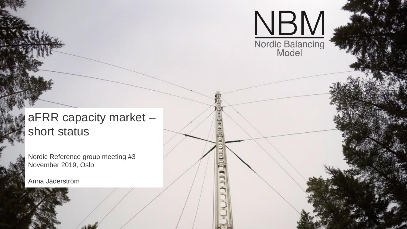

## aFRR capacity market – short status

Nordic Reference group meeting #3 November 2019, Oslo

Anna Jäderström

Åpen informasjon / Public information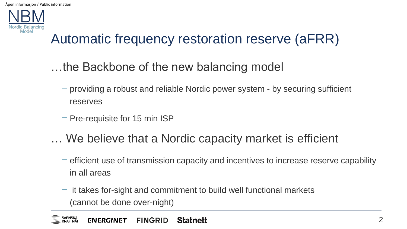

## Automatic frequency restoration reserve (aFRR)

## …the Backbone of the new balancing model

- − providing a robust and reliable Nordic power system by securing sufficient reserves
- − Pre-requisite for 15 min ISP
- … We believe that a Nordic capacity market is efficient
	- − efficient use of transmission capacity and incentives to increase reserve capability in all areas
	- − it takes for-sight and commitment to build well functional markets (cannot be done over-night)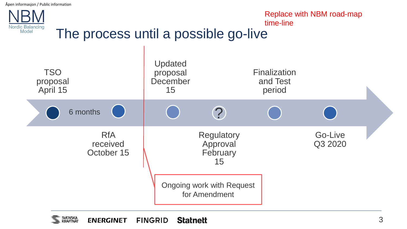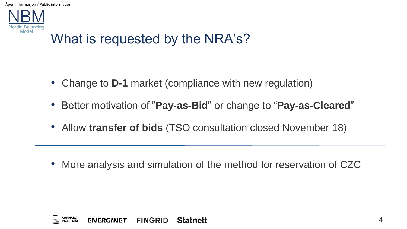

## What is requested by the NRA's?

- Change to **D-1** market (compliance with new regulation)
- Better motivation of "**Pay-as-Bid**" or change to "**Pay-as-Cleared**"
- Allow **transfer of bids** (TSO consultation closed November 18)

• More analysis and simulation of the method for reservation of CZC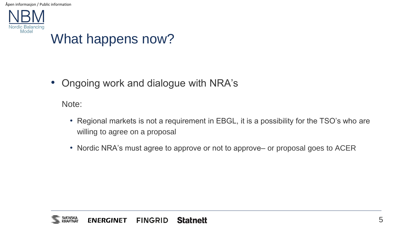

• Ongoing work and dialogue with NRA's

Note:

- Regional markets is not a requirement in EBGL, it is a possibility for the TSO's who are willing to agree on a proposal
- Nordic NRA's must agree to approve or not to approve– or proposal goes to ACER